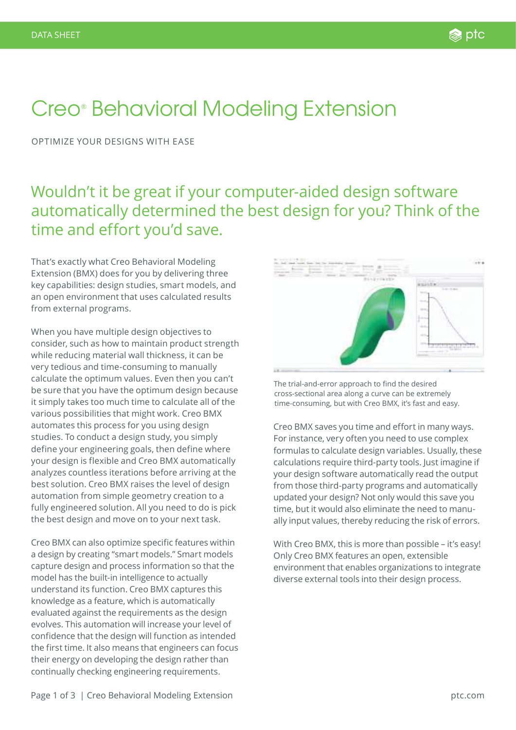# Creo® Behavioral Modeling Extension

OPTIMIZE YOUR DESIGNS WITH EASE

Wouldn't it be great if your computer-aided design software automatically determined the best design for you? Think of the time and effort you'd save.

That's exactly what Creo Behavioral Modeling Extension (BMX) does for you by delivering three key capabilities: design studies, smart models, and an open environment that uses calculated results from external programs.

When you have multiple design objectives to consider, such as how to maintain product strength while reducing material wall thickness, it can be very tedious and time-consuming to manually calculate the optimum values. Even then you can't be sure that you have the optimum design because it simply takes too much time to calculate all of the various possibilities that might work. Creo BMX automates this process for you using design studies. To conduct a design study, you simply define your engineering goals, then define where your design is flexible and Creo BMX automatically analyzes countless iterations before arriving at the best solution. Creo BMX raises the level of design automation from simple geometry creation to a fully engineered solution. All you need to do is pick the best design and move on to your next task.

Creo BMX can also optimize specific features within a design by creating "smart models." Smart models capture design and process information so that the model has the built-in intelligence to actually understand its function. Creo BMX captures this knowledge as a feature, which is automatically evaluated against the requirements as the design evolves. This automation will increase your level of confidence that the design will function as intended the first time. It also means that engineers can focus their energy on developing the design rather than continually checking engineering requirements.



The trial-and-error approach to find the desired cross-sectional area along a curve can be extremely time-consuming, but with Creo BMX, it's fast and easy.

Creo BMX saves you time and effort in many ways. For instance, very often you need to use complex formulas to calculate design variables. Usually, these calculations require third-party tools. Just imagine if your design software automatically read the output from those third-party programs and automatically updated your design? Not only would this save you time, but it would also eliminate the need to manually input values, thereby reducing the risk of errors.

With Creo BMX, this is more than possible – it's easy! Only Creo BMX features an open, extensible environment that enables organizations to integrate diverse external tools into their design process.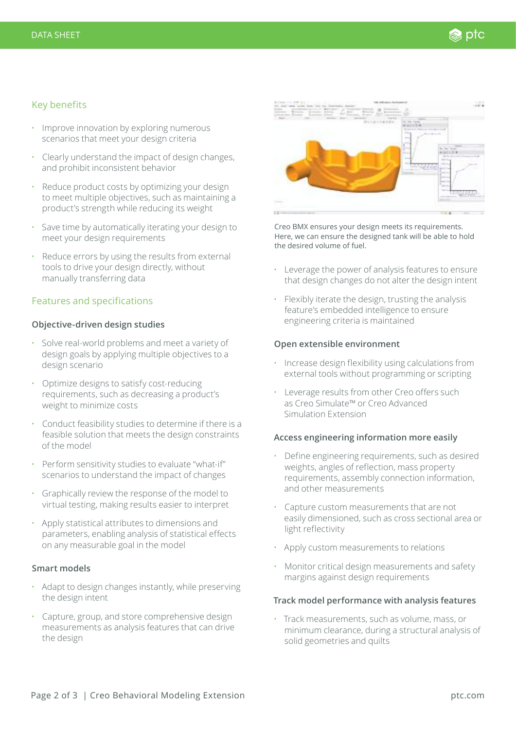# Key benefits

- Improve innovation by exploring numerous scenarios that meet your design criteria
- Clearly understand the impact of design changes, and prohibit inconsistent behavior
- Reduce product costs by optimizing your design to meet multiple objectives, such as maintaining a product's strength while reducing its weight
- Save time by automatically iterating your design to meet your design requirements
- Reduce errors by using the results from external tools to drive your design directly, without manually transferring data

# Features and specifications

## **Objective-driven design studies**

- Solve real-world problems and meet a variety of design goals by applying multiple objectives to a design scenario
- Optimize designs to satisfy cost-reducing requirements, such as decreasing a product's weight to minimize costs
- Conduct feasibility studies to determine if there is a feasible solution that meets the design constraints of the model
- Perform sensitivity studies to evaluate "what-if" scenarios to understand the impact of changes
- Graphically review the response of the model to virtual testing, making results easier to interpret
- Apply statistical attributes to dimensions and parameters, enabling analysis of statistical effects on any measurable goal in the model

#### **Smart models**

- Adapt to design changes instantly, while preserving the design intent
- Capture, group, and store comprehensive design measurements as analysis features that can drive the design



Creo BMX ensures your design meets its requirements. Here, we can ensure the designed tank will be able to hold the desired volume of fuel.

- Leverage the power of analysis features to ensure that design changes do not alter the design intent
- Flexibly iterate the design, trusting the analysis feature's embedded intelligence to ensure engineering criteria is maintained

#### **Open extensible environment**

- Increase design flexibility using calculations from external tools without programming or scripting
- Leverage results from other Creo offers such as Creo Simulate™ or Creo Advanced Simulation Extension

## **Access engineering information more easily**

- Define engineering requirements, such as desired weights, angles of reflection, mass property requirements, assembly connection information, and other measurements
- Capture custom measurements that are not easily dimensioned, such as cross sectional area or light reflectivity
- Apply custom measurements to relations
- Monitor critical design measurements and safety margins against design requirements

## **Track model performance with analysis features**

• Track measurements, such as volume, mass, or minimum clearance, during a structural analysis of solid geometries and quilts